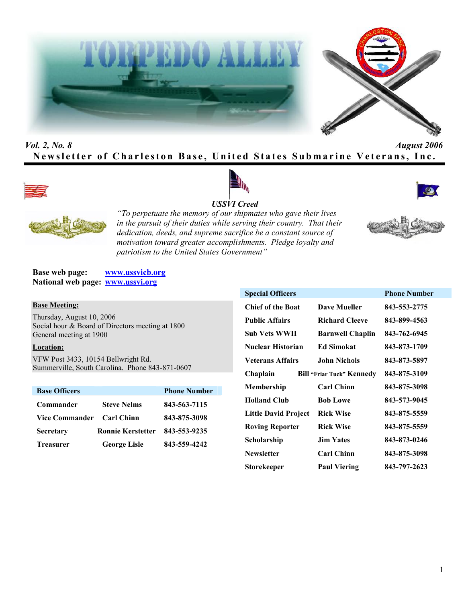



## *Vol. 2, No. 8 August 2006* **Newsletter of Charleston Base, United States Submarine Veterans, Inc.**









*"To perpetuate the memory of our shipmates who gave their lives in the pursuit of their duties while serving their country. That their dedication, deeds, and supreme sacrifice be a constant source of motivation toward greater accomplishments. Pledge loyalty and patriotism to the United States Government"*

**Base web page: www.ussvicb.org National web page: www.ussvi.org**

#### **Base Meeting:**

Thursday, August 10, 2006 Social hour & Board of Directors meeting at 1800 General meeting at 1900

#### **Location:**

VFW Post 3433, 10154 Bellwright Rd. Summerville, South Carolina. Phone 843-871-0607

| <b>Base Officers</b> |                          | <b>Phone Number</b> |
|----------------------|--------------------------|---------------------|
| Commander            | <b>Steve Nelms</b>       | 843-563-7115        |
| Vice Commander       | <b>Carl Chinn</b>        | 843-875-3098        |
| <b>Secretary</b>     | <b>Ronnie Kerstetter</b> | 843-553-9235        |
| <b>Treasurer</b>     | <b>George Lisle</b>      | 843-559-4242        |

| <b>Special Officers</b>     |                                  | <b>Phone Number</b> |
|-----------------------------|----------------------------------|---------------------|
| <b>Chief of the Boat</b>    | <b>Dave Mueller</b>              | 843-553-2775        |
| <b>Public Affairs</b>       | <b>Richard Cleeve</b>            | 843-899-4563        |
| <b>Sub Vets WWII</b>        | <b>Barnwell Chaplin</b>          | 843-762-6945        |
| Nuclear Historian           | <b>Ed Simokat</b>                | 843-873-1709        |
| <b>Veterans Affairs</b>     | <b>John Nichols</b>              | 843-873-5897        |
| Chaplain                    | <b>Bill "Friar Tuck" Kennedy</b> | 843-875-3109        |
| Membership                  | <b>Carl Chinn</b>                | 843-875-3098        |
| <b>Holland Club</b>         | <b>Bob Lowe</b>                  | 843-573-9045        |
| <b>Little David Project</b> | <b>Rick Wise</b>                 | 843-875-5559        |
| <b>Roving Reporter</b>      | <b>Rick Wise</b>                 | 843-875-5559        |
| Scholarship                 | <b>Jim Yates</b>                 | 843-873-0246        |
| <b>Newsletter</b>           | <b>Carl Chinn</b>                | 843-875-3098        |
| Storekeeper                 | <b>Paul Viering</b>              | 843-797-2623        |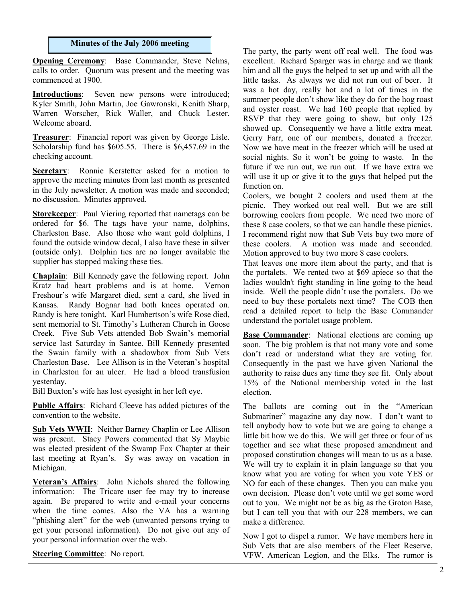#### **Minutes of the July 2006 meeting**

**Opening Ceremony**: Base Commander, Steve Nelms, calls to order. Quorum was present and the meeting was commenced at 1900.

**Introductions**: Seven new persons were introduced; Kyler Smith, John Martin, Joe Gawronski, Kenith Sharp, Warren Worscher, Rick Waller, and Chuck Lester. Welcome aboard.

**Treasurer**: Financial report was given by George Lisle. Scholarship fund has \$605.55. There is \$6,457.69 in the checking account.

**Secretary**: Ronnie Kerstetter asked for a motion to approve the meeting minutes from last month as presented in the July newsletter. A motion was made and seconded; no discussion. Minutes approved.

**Storekeeper**: Paul Viering reported that nametags can be ordered for \$6. The tags have your name, dolphins, Charleston Base. Also those who want gold dolphins, I found the outside window decal, I also have these in silver (outside only). Dolphin ties are no longer available the supplier has stopped making these ties.

**Chaplain**: Bill Kennedy gave the following report. John Kratz had heart problems and is at home. Vernon Freshour's wife Margaret died, sent a card, she lived in Kansas. Randy Bognar had both knees operated on. Randy is here tonight. Karl Humbertson's wife Rose died, sent memorial to St. Timothy's Lutheran Church in Goose Creek. Five Sub Vets attended Bob Swain's memorial service last Saturday in Santee. Bill Kennedy presented the Swain family with a shadowbox from Sub Vets Charleston Base. Lee Allison is in the Veteran's hospital in Charleston for an ulcer. He had a blood transfusion yesterday.

Bill Buxton's wife has lost eyesight in her left eye.

**Public Affairs**: Richard Cleeve has added pictures of the convention to the website.

**Sub Vets WWII**: Neither Barney Chaplin or Lee Allison was present. Stacy Powers commented that Sy Maybie was elected president of the Swamp Fox Chapter at their last meeting at Ryan's. Sy was away on vacation in Michigan.

**Veteran's Affairs**: John Nichols shared the following information: The Tricare user fee may try to increase again. Be prepared to write and e-mail your concerns when the time comes. Also the VA has a warning "phishing alert" for the web (unwanted persons trying to get your personal information). Do not give out any of your personal information over the web.

**Steering Committee:** No report.

The party, the party went off real well. The food was excellent. Richard Sparger was in charge and we thank him and all the guys the helped to set up and with all the little tasks. As always we did not run out of beer. It was a hot day, really hot and a lot of times in the summer people don't show like they do for the hog roast and oyster roast. We had 160 people that replied by RSVP that they were going to show, but only 125 showed up. Consequently we have a little extra meat. Gerry Farr, one of our members, donated a freezer. Now we have meat in the freezer which will be used at social nights. So it won't be going to waste. In the future if we run out, we run out. If we have extra we will use it up or give it to the guys that helped put the function on.

Coolers, we bought 2 coolers and used them at the picnic. They worked out real well. But we are still borrowing coolers from people. We need two more of these 8 case coolers, so that we can handle these picnics. I recommend right now that Sub Vets buy two more of these coolers. A motion was made and seconded. Motion approved to buy two more 8 case coolers.

That leaves one more item about the party, and that is the portalets. We rented two at \$69 apiece so that the ladies wouldn't fight standing in line going to the head inside. Well the people didn't use the portalets. Do we need to buy these portalets next time? The COB then read a detailed report to help the Base Commander understand the portalet usage problem.

**Base Commander**: National elections are coming up soon. The big problem is that not many vote and some don't read or understand what they are voting for. Consequently in the past we have given National the authority to raise dues any time they see fit. Only about 15% of the National membership voted in the last election.

The ballots are coming out in the "American Submariner" magazine any day now. I don't want to tell anybody how to vote but we are going to change a little bit how we do this. We will get three or four of us together and see what these proposed amendment and proposed constitution changes will mean to us as a base. We will try to explain it in plain language so that you know what you are voting for when you vote YES or NO for each of these changes. Then you can make you own decision. Please don't vote until we get some word out to you. We might not be as big as the Groton Base, but I can tell you that with our 228 members, we can make a difference.

Now I got to dispel a rumor. We have members here in Sub Vets that are also members of the Fleet Reserve, VFW, American Legion, and the Elks. The rumor is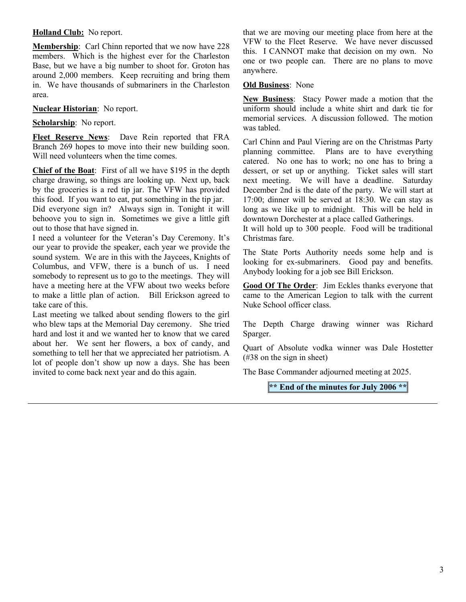#### **Holland Club:** No report.

**Membership**: Carl Chinn reported that we now have 228 members. Which is the highest ever for the Charleston Base, but we have a big number to shoot for. Groton has around 2,000 members. Keep recruiting and bring them in. We have thousands of submariners in the Charleston area.

**Nuclear Historian**: No report.

#### **Scholarship**: No report.

**Fleet Reserve News**: Dave Rein reported that FRA Branch 269 hopes to move into their new building soon. Will need volunteers when the time comes.

**Chief of the Boat**: First of all we have \$195 in the depth charge drawing, so things are looking up. Next up, back by the groceries is a red tip jar. The VFW has provided this food. If you want to eat, put something in the tip jar.

Did everyone sign in? Always sign in. Tonight it will behoove you to sign in. Sometimes we give a little gift out to those that have signed in.

I need a volunteer for the Veteran's Day Ceremony. It's our year to provide the speaker, each year we provide the sound system. We are in this with the Jaycees, Knights of Columbus, and VFW, there is a bunch of us. I need somebody to represent us to go to the meetings. They will have a meeting here at the VFW about two weeks before to make a little plan of action. Bill Erickson agreed to take care of this.

Last meeting we talked about sending flowers to the girl who blew taps at the Memorial Day ceremony. She tried hard and lost it and we wanted her to know that we cared about her. We sent her flowers, a box of candy, and something to tell her that we appreciated her patriotism. A lot of people don't show up now a days. She has been invited to come back next year and do this again.

that we are moving our meeting place from here at the VFW to the Fleet Reserve. We have never discussed this. I CANNOT make that decision on my own. No one or two people can. There are no plans to move anywhere.

#### **Old Business**: None

**New Business**: Stacy Power made a motion that the uniform should include a white shirt and dark tie for memorial services. A discussion followed. The motion was tabled.

Carl Chinn and Paul Viering are on the Christmas Party planning committee. Plans are to have everything catered. No one has to work; no one has to bring a dessert, or set up or anything. Ticket sales will start next meeting. We will have a deadline. Saturday December 2nd is the date of the party. We will start at 17:00; dinner will be served at 18:30. We can stay as long as we like up to midnight. This will be held in downtown Dorchester at a place called Gatherings.

It will hold up to 300 people. Food will be traditional Christmas fare.

The State Ports Authority needs some help and is looking for ex-submariners. Good pay and benefits. Anybody looking for a job see Bill Erickson.

**Good Of The Order**: Jim Eckles thanks everyone that came to the American Legion to talk with the current Nuke School officer class.

The Depth Charge drawing winner was Richard Sparger.

Quart of Absolute vodka winner was Dale Hostetter (#38 on the sign in sheet)

The Base Commander adjourned meeting at 2025.

**\*\* End of the minutes for July 2006 \*\***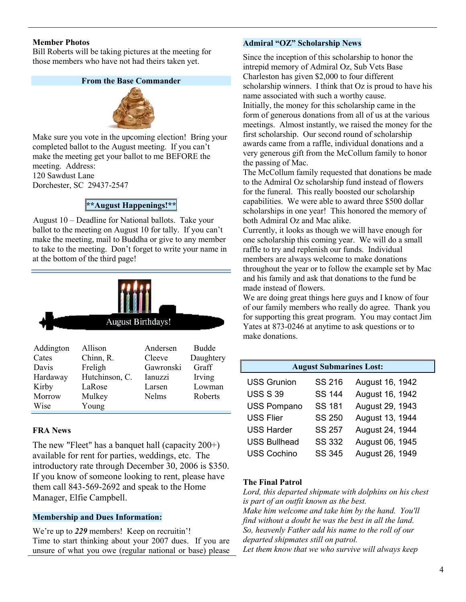#### **Member Photos**

Bill Roberts will be taking pictures at the meeting for those members who have not had theirs taken yet.

#### **From the Base Commander**



Make sure you vote in the upcoming election! Bring your completed ballot to the August meeting. If you can't make the meeting get your ballot to me BEFORE the meeting. Address: 120 Sawdust Lane Dorchester, SC 29437-2547

## **\*\*August Happenings!\*\***

August 10 – Deadline for National ballots. Take your ballot to the meeting on August 10 for tally. If you can't make the meeting, mail to Buddha or give to any member to take to the meeting. Don't forget to write your name in at the bottom of the third page!



#### **FRA News**

The new "Fleet" has a banquet hall (capacity 200+) available for rent for parties, weddings, etc. The introductory rate through December 30, 2006 is \$350. If you know of someone looking to rent, please have them call 843-569-2692 and speak to the Home Manager, Elfie Campbell.

#### **Membership and Dues Information:**

We're up to 229 members! Keep on recruitin'! Time to start thinking about your 2007 dues. If you are unsure of what you owe (regular national or base) please

#### **Admiral "OZ" Scholarship News**

Since the inception of this scholarship to honor the intrepid memory of Admiral Oz, Sub Vets Base Charleston has given \$2,000 to four different scholarship winners. I think that Oz is proud to have his name associated with such a worthy cause. Initially, the money for this scholarship came in the form of generous donations from all of us at the various meetings. Almost instantly, we raised the money for the first scholarship. Our second round of scholarship awards came from a raffle, individual donations and a very generous gift from the McCollum family to honor the passing of Mac.

The McCollum family requested that donations be made to the Admiral Oz scholarship fund instead of flowers for the funeral. This really boosted our scholarship capabilities. We were able to award three \$500 dollar scholarships in one year! This honored the memory of both Admiral Oz and Mac alike.

Currently, it looks as though we will have enough for one scholarship this coming year. We will do a small raffle to try and replenish our funds. Individual members are always welcome to make donations throughout the year or to follow the example set by Mac and his family and ask that donations to the fund be made instead of flowers.

We are doing great things here guys and I know of four of our family members who really do agree. Thank you for supporting this great program. You may contact Jim Yates at 873-0246 at anytime to ask questions or to make donations.

| <b>August Submarines Lost:</b> |               |                 |  |
|--------------------------------|---------------|-----------------|--|
| <b>USS Grunion</b>             | <b>SS 216</b> | August 16, 1942 |  |
| <b>USS S 39</b>                | <b>SS 144</b> | August 16, 1942 |  |
| <b>USS Pompano</b>             | <b>SS 181</b> | August 29, 1943 |  |
| <b>USS Flier</b>               | <b>SS 250</b> | August 13, 1944 |  |
| <b>USS Harder</b>              | <b>SS 257</b> | August 24, 1944 |  |
| <b>USS Bullhead</b>            | <b>SS 332</b> | August 06, 1945 |  |
| <b>USS Cochino</b>             | <b>SS 345</b> | August 26, 1949 |  |

#### **The Final Patrol**

*Lord, this departed shipmate with dolphins on his chest is part of an outfit known as the best. Make him welcome and take him by the hand. You'll find without a doubt he was the best in all the land. So, heavenly Father add his name to the roll of our departed shipmates still on patrol. Let them know that we who survive will always keep*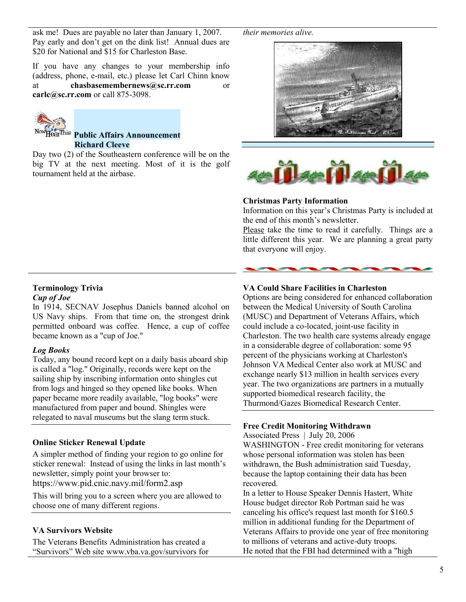ask me! Dues are payable no later than January 1, 2007. Pay early and don't get on the dink list! Annual dues are \$20 for National and \$15 for Charleston Base.

If you have any changes to your membership info (address, phone, e-mail, etc.) please let Carl Chinn know at **chasbasemembernews@sc.rr.com** or **carlc@sc.rr.com** or call 875-3098.



**Public Affairs Announcement Richard Cleeve**

Day two (2) of the Southeastern conference will be on the big TV at the next meeting. Most of it is the golf tournament held at the airbase.

#### *their memories alive.*





#### **Christmas Party Information**

Information on this year's Christmas Party is included at the end of this month's newsletter.

Please take the time to read it carefully. Things are a little different this year. We are planning a great party that everyone will enjoy.

## **Terminology Trivia**

#### *Cup of Joe*

In 1914, SECNAV Josephus Daniels banned alcohol on US Navy ships. From that time on, the strongest drink permitted onboard was coffee. Hence, a cup of coffee became known as a "cup of Joe."

#### *Log Books*

Today, any bound record kept on a daily basis aboard ship is called a "log." Originally, records were kept on the sailing ship by inscribing information onto shingles cut from logs and hinged so they opened like books. When paper became more readily available, "log books" were manufactured from paper and bound. Shingles were relegated to naval museums but the slang term stuck.

#### **Online Sticker Renewal Update**

A simpler method of finding your region to go online for sticker renewal: Instead of using the links in last month's newsletter, simply point your browser to:

https://www.pid.cnic.navy.mil/form2.asp

This will bring you to a screen where you are allowed to choose one of many different regions.

### **VA Survivors Website**

The Veterans Benefits Administration has created a "Survivors" Web site www.vba.va.gov/survivors for

#### **VA Could Share Facilities in Charleston**

Options are being considered for enhanced collaboration between the Medical University of South Carolina (MUSC) and Department of Veterans Affairs, which could include a co-located, joint-use facility in Charleston. The two health care systems already engage in a considerable degree of collaboration: some 95 percent of the physicians working at Charleston's Johnson VA Medical Center also work at MUSC and exchange nearly \$13 million in health services every year. The two organizations are partners in a mutually supported biomedical research facility, the Thurmond/Gazes Biomedical Research Center.

#### **Free Credit Monitoring Withdrawn**

Associated Press | July 20, 2006

WASHINGTON - Free credit monitoring for veterans whose personal information was stolen has been withdrawn, the Bush administration said Tuesday, because the laptop containing their data has been recovered.

In a letter to House Speaker Dennis Hastert, White House budget director Rob Portman said he was canceling his office's request last month for \$160.5 million in additional funding for the Department of Veterans Affairs to provide one year of free monitoring to millions of veterans and active-duty troops. He noted that the FBI had determined with a "high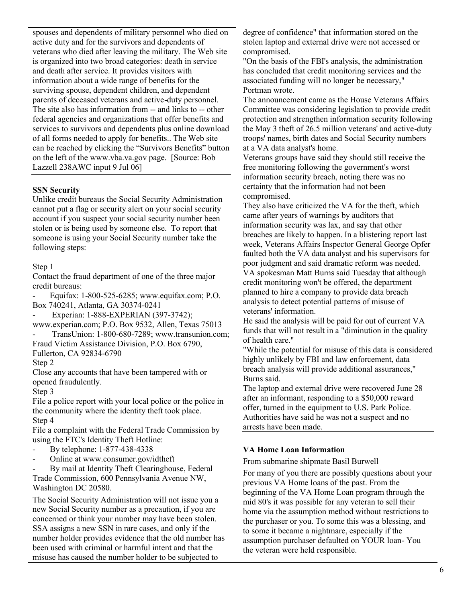spouses and dependents of military personnel who died on active duty and for the survivors and dependents of veterans who died after leaving the military. The Web site is organized into two broad categories: death in service and death after service. It provides visitors with information about a wide range of benefits for the surviving spouse, dependent children, and dependent parents of deceased veterans and active-duty personnel. The site also has information from -- and links to -- other federal agencies and organizations that offer benefits and services to survivors and dependents plus online download of all forms needed to apply for benefits.. The Web site can be reached by clicking the "Survivors Benefits" button on the left of the www.vba.va.gov page. [Source: Bob Lazzell 238AWC input 9 Jul 06]

#### **SSN Security**

Unlike credit bureaus the Social Security Administration cannot put a flag or security alert on your social security account if you suspect your social security number been stolen or is being used by someone else. To report that someone is using your Social Security number take the following steps:

#### Step 1

Contact the fraud department of one of the three major credit bureaus:

- Equifax: 1-800-525-6285; www.equifax.com; P.O. Box 740241, Atlanta, GA 30374-0241

Experian: 1-888-EXPERIAN (397-3742);

www.experian.com; P.O. Box 9532, Allen, Texas 75013

TransUnion: 1-800-680-7289; www.transunion.com; Fraud Victim Assistance Division, P.O. Box 6790, Fullerton, CA 92834-6790

Step 2

Close any accounts that have been tampered with or opened fraudulently.

Step 3

File a police report with your local police or the police in the community where the identity theft took place. Step 4

File a complaint with the Federal Trade Commission by using the FTC's Identity Theft Hotline:

- By telephone: 1-877-438-4338
- Online at www.consumer.gov/idtheft

By mail at Identity Theft Clearinghouse, Federal Trade Commission, 600 Pennsylvania Avenue NW, Washington DC 20580.

The Social Security Administration will not issue you a new Social Security number as a precaution, if you are concerned or think your number may have been stolen. SSA assigns a new SSN in rare cases, and only if the number holder provides evidence that the old number has been used with criminal or harmful intent and that the misuse has caused the number holder to be subjected to

degree of confidence" that information stored on the stolen laptop and external drive were not accessed or compromised.

"On the basis of the FBI's analysis, the administration has concluded that credit monitoring services and the associated funding will no longer be necessary," Portman wrote.

The announcement came as the House Veterans Affairs Committee was considering legislation to provide credit protection and strengthen information security following the May 3 theft of 26.5 million veterans' and active-duty troops' names, birth dates and Social Security numbers at a VA data analyst's home.

Veterans groups have said they should still receive the free monitoring following the government's worst information security breach, noting there was no certainty that the information had not been compromised.

They also have criticized the VA for the theft, which came after years of warnings by auditors that information security was lax, and say that other breaches are likely to happen. In a blistering report last week, Veterans Affairs Inspector General George Opfer faulted both the VA data analyst and his supervisors for poor judgment and said dramatic reform was needed. VA spokesman Matt Burns said Tuesday that although credit monitoring won't be offered, the department planned to hire a company to provide data breach analysis to detect potential patterns of misuse of veterans' information.

He said the analysis will be paid for out of current VA funds that will not result in a "diminution in the quality of health care."

"While the potential for misuse of this data is considered highly unlikely by FBI and law enforcement, data breach analysis will provide additional assurances," Burns said.

The laptop and external drive were recovered June 28 after an informant, responding to a \$50,000 reward offer, turned in the equipment to U.S. Park Police. Authorities have said he was not a suspect and no arrests have been made.

## **VA Home Loan Information**

From submarine shipmate Basil Burwell

For many of you there are possibly questions about your previous VA Home loans of the past. From the beginning of the VA Home Loan program through the mid 80's it was possible for any veteran to sell their home via the assumption method without restrictions to the purchaser or you. To some this was a blessing, and to some it became a nightmare, especially if the assumption purchaser defaulted on YOUR loan- You the veteran were held responsible.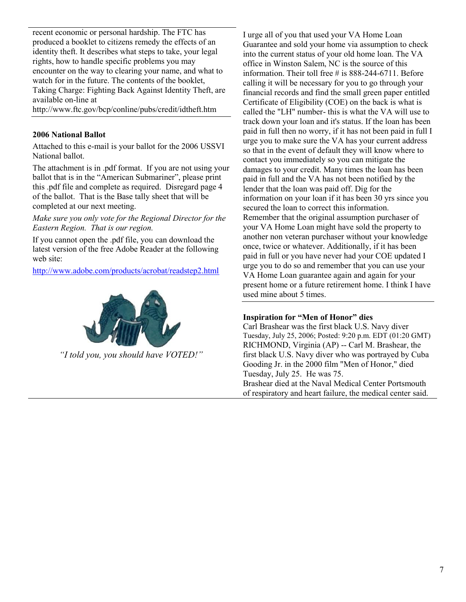recent economic or personal hardship. The FTC has produced a booklet to citizens remedy the effects of an identity theft. It describes what steps to take, your legal rights, how to handle specific problems you may encounter on the way to clearing your name, and what to watch for in the future. The contents of the booklet, Taking Charge: Fighting Back Against Identity Theft, are available on-line at

http://www.ftc.gov/bcp/conline/pubs/credit/idtheft.htm

#### **2006 National Ballot**

Attached to this e-mail is your ballot for the 2006 USSVI National ballot.

The attachment is in .pdf format. If you are not using your ballot that is in the "American Submariner", please print this .pdf file and complete as required. Disregard page 4 of the ballot. That is the Base tally sheet that will be completed at our next meeting.

*Make sure you only vote for the Regional Director for the Eastern Region. That is our region.*

If you cannot open the .pdf file, you can download the latest version of the free Adobe Reader at the following web site:

http://www.adobe.com/products/acrobat/readstep2.html



*"I told you, you should have VOTED!"*

I urge all of you that used your VA Home Loan Guarantee and sold your home via assumption to check into the current status of your old home loan. The VA office in Winston Salem, NC is the source of this information. Their toll free # is 888-244-6711. Before calling it will be necessary for you to go through your financial records and find the small green paper entitled Certificate of Eligibility (COE) on the back is what is called the "LH" number- this is what the VA will use to track down your loan and it's status. If the loan has been paid in full then no worry, if it has not been paid in full I urge you to make sure the VA has your current address so that in the event of default they will know where to contact you immediately so you can mitigate the damages to your credit. Many times the loan has been paid in full and the VA has not been notified by the lender that the loan was paid off. Dig for the information on your loan if it has been 30 yrs since you secured the loan to correct this information. Remember that the original assumption purchaser of your VA Home Loan might have sold the property to another non veteran purchaser without your knowledge once, twice or whatever. Additionally, if it has been paid in full or you have never had your COE updated I urge you to do so and remember that you can use your VA Home Loan guarantee again and again for your present home or a future retirement home. I think I have used mine about 5 times.

#### **Inspiration for "Men of Honor" dies**

Carl Brashear was the first black U.S. Navy diver Tuesday, July 25, 2006; Posted: 9:20 p.m. EDT (01:20 GMT) RICHMOND, Virginia (AP) -- Carl M. Brashear, the first black U.S. Navy diver who was portrayed by Cuba Gooding Jr. in the 2000 film "Men of Honor," died Tuesday, July 25. He was 75. Brashear died at the Naval Medical Center Portsmouth of respiratory and heart failure, the medical center said.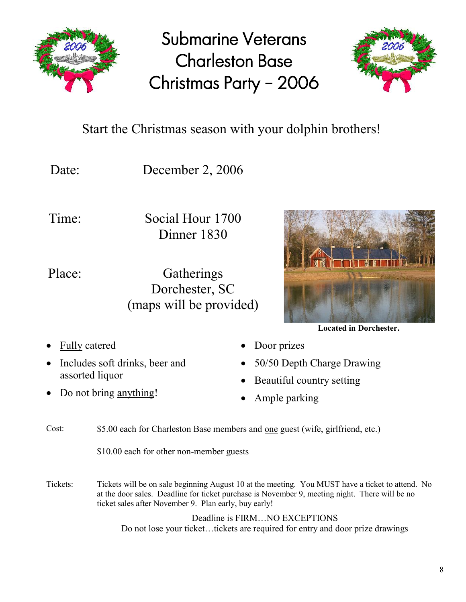

**Submarine Veterans Charleston Base Christmas Party – 2006**



# Start the Christmas season with your dolphin brothers!

Date: December 2, 2006

Time: Social Hour 1700 Dinner 1830

Place: Gatherings Dorchester, SC (maps will be provided)



- Fully catered
- Includes soft drinks, beer and assorted liquor
- Do not bring anything!
- Door prizes
- 50/50 Depth Charge Drawing
- Beautiful country setting
- Ample parking

Cost: \$5.00 each for Charleston Base members and <u>one</u> guest (wife, girlfriend, etc.)

\$10.00 each for other non-member guests

Tickets: Tickets will be on sale beginning August 10 at the meeting. You MUST have a ticket to attend. No at the door sales. Deadline for ticket purchase is November 9, meeting night. There will be no ticket sales after November 9. Plan early, buy early!

> Deadline is FIRM…NO EXCEPTIONS Do not lose your ticket…tickets are required for entry and door prize drawings